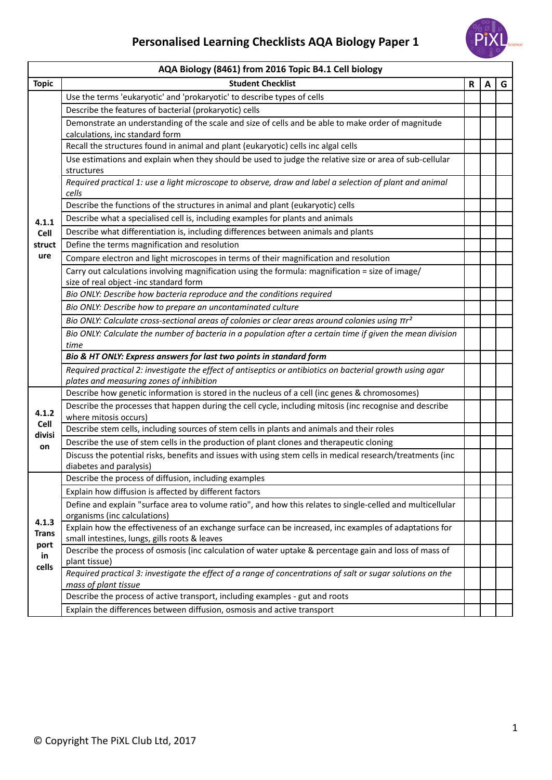

| AQA Biology (8461) from 2016 Topic B4.1 Cell biology |                                                                                                                                                         |   |   |   |  |  |
|------------------------------------------------------|---------------------------------------------------------------------------------------------------------------------------------------------------------|---|---|---|--|--|
| <b>Topic</b>                                         | <b>Student Checklist</b>                                                                                                                                | R | А | G |  |  |
|                                                      | Use the terms 'eukaryotic' and 'prokaryotic' to describe types of cells                                                                                 |   |   |   |  |  |
|                                                      | Describe the features of bacterial (prokaryotic) cells                                                                                                  |   |   |   |  |  |
|                                                      | Demonstrate an understanding of the scale and size of cells and be able to make order of magnitude                                                      |   |   |   |  |  |
|                                                      | calculations, inc standard form                                                                                                                         |   |   |   |  |  |
|                                                      | Recall the structures found in animal and plant (eukaryotic) cells inc algal cells                                                                      |   |   |   |  |  |
|                                                      | Use estimations and explain when they should be used to judge the relative size or area of sub-cellular<br>structures                                   |   |   |   |  |  |
|                                                      | Required practical 1: use a light microscope to observe, draw and label a selection of plant and animal<br>cells                                        |   |   |   |  |  |
|                                                      | Describe the functions of the structures in animal and plant (eukaryotic) cells                                                                         |   |   |   |  |  |
| 4.1.1                                                | Describe what a specialised cell is, including examples for plants and animals                                                                          |   |   |   |  |  |
| <b>Cell</b>                                          | Describe what differentiation is, including differences between animals and plants                                                                      |   |   |   |  |  |
| struct                                               | Define the terms magnification and resolution                                                                                                           |   |   |   |  |  |
| ure                                                  | Compare electron and light microscopes in terms of their magnification and resolution                                                                   |   |   |   |  |  |
|                                                      | Carry out calculations involving magnification using the formula: magnification = size of image/<br>size of real object -inc standard form              |   |   |   |  |  |
|                                                      | Bio ONLY: Describe how bacteria reproduce and the conditions required                                                                                   |   |   |   |  |  |
|                                                      | Bio ONLY: Describe how to prepare an uncontaminated culture                                                                                             |   |   |   |  |  |
|                                                      | Bio ONLY: Calculate cross-sectional areas of colonies or clear areas around colonies using $\pi r^2$                                                    |   |   |   |  |  |
|                                                      | Bio ONLY: Calculate the number of bacteria in a population after a certain time if given the mean division                                              |   |   |   |  |  |
|                                                      | time                                                                                                                                                    |   |   |   |  |  |
|                                                      | Bio & HT ONLY: Express answers for last two points in standard form                                                                                     |   |   |   |  |  |
|                                                      | Required practical 2: investigate the effect of antiseptics or antibiotics on bacterial growth using agar<br>plates and measuring zones of inhibition   |   |   |   |  |  |
|                                                      | Describe how genetic information is stored in the nucleus of a cell (inc genes & chromosomes)                                                           |   |   |   |  |  |
|                                                      | Describe the processes that happen during the cell cycle, including mitosis (inc recognise and describe                                                 |   |   |   |  |  |
| 4.1.2                                                | where mitosis occurs)                                                                                                                                   |   |   |   |  |  |
| Cell<br>divisi                                       | Describe stem cells, including sources of stem cells in plants and animals and their roles                                                              |   |   |   |  |  |
| on                                                   | Describe the use of stem cells in the production of plant clones and therapeutic cloning                                                                |   |   |   |  |  |
|                                                      | Discuss the potential risks, benefits and issues with using stem cells in medical research/treatments (inc<br>diabetes and paralysis)                   |   |   |   |  |  |
|                                                      | Describe the process of diffusion, including examples                                                                                                   |   |   |   |  |  |
|                                                      | Explain how diffusion is affected by different factors                                                                                                  |   |   |   |  |  |
|                                                      | Define and explain "surface area to volume ratio", and how this relates to single-celled and multicellular                                              |   |   |   |  |  |
| 4.1.3                                                | organisms (inc calculations)                                                                                                                            |   |   |   |  |  |
| <b>Trans</b><br>port<br>in<br>cells                  | Explain how the effectiveness of an exchange surface can be increased, inc examples of adaptations for<br>small intestines, lungs, gills roots & leaves |   |   |   |  |  |
|                                                      | Describe the process of osmosis (inc calculation of water uptake & percentage gain and loss of mass of                                                  |   |   |   |  |  |
|                                                      | plant tissue)                                                                                                                                           |   |   |   |  |  |
|                                                      | Required practical 3: investigate the effect of a range of concentrations of salt or sugar solutions on the                                             |   |   |   |  |  |
|                                                      | mass of plant tissue                                                                                                                                    |   |   |   |  |  |
|                                                      | Describe the process of active transport, including examples - gut and roots                                                                            |   |   |   |  |  |
|                                                      | Explain the differences between diffusion, osmosis and active transport                                                                                 |   |   |   |  |  |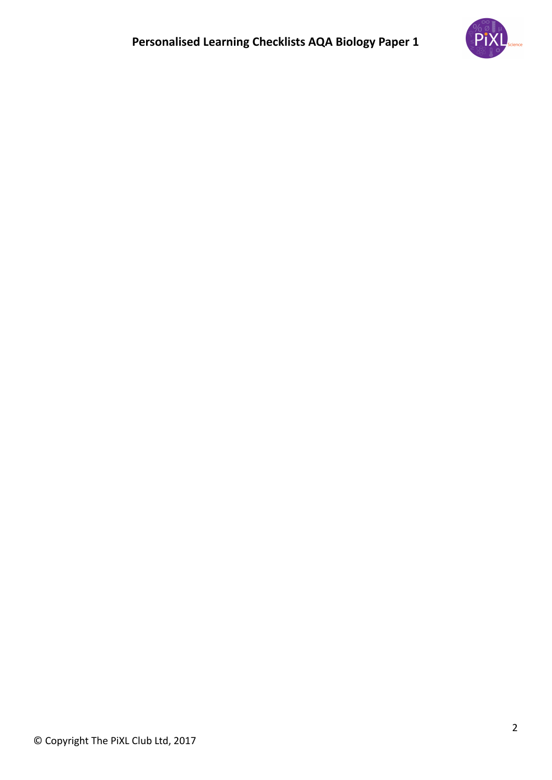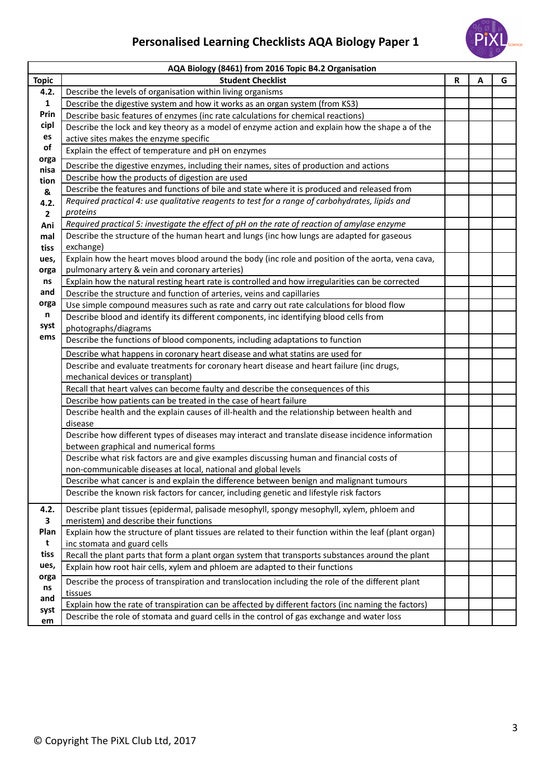

| AQA Biology (8461) from 2016 Topic B4.2 Organisation |                                                                                                        |   |   |   |  |  |
|------------------------------------------------------|--------------------------------------------------------------------------------------------------------|---|---|---|--|--|
| <b>Topic</b>                                         | <b>Student Checklist</b>                                                                               | R | A | G |  |  |
| 4.2.                                                 | Describe the levels of organisation within living organisms                                            |   |   |   |  |  |
| $\mathbf{1}$                                         | Describe the digestive system and how it works as an organ system (from KS3)                           |   |   |   |  |  |
| Prin                                                 | Describe basic features of enzymes (inc rate calculations for chemical reactions)                      |   |   |   |  |  |
| cipl                                                 | Describe the lock and key theory as a model of enzyme action and explain how the shape a of the        |   |   |   |  |  |
| es                                                   | active sites makes the enzyme specific                                                                 |   |   |   |  |  |
| of                                                   | Explain the effect of temperature and pH on enzymes                                                    |   |   |   |  |  |
| orga                                                 | Describe the digestive enzymes, including their names, sites of production and actions                 |   |   |   |  |  |
| nisa                                                 | Describe how the products of digestion are used                                                        |   |   |   |  |  |
| tion                                                 | Describe the features and functions of bile and state where it is produced and released from           |   |   |   |  |  |
| &                                                    | Required practical 4: use qualitative reagents to test for a range of carbohydrates, lipids and        |   |   |   |  |  |
| 4.2.                                                 | proteins                                                                                               |   |   |   |  |  |
| $\mathbf{2}$                                         | Required practical 5: investigate the effect of pH on the rate of reaction of amylase enzyme           |   |   |   |  |  |
| Ani                                                  | Describe the structure of the human heart and lungs (inc how lungs are adapted for gaseous             |   |   |   |  |  |
| mal<br>tiss                                          | exchange)                                                                                              |   |   |   |  |  |
| ues,                                                 | Explain how the heart moves blood around the body (inc role and position of the aorta, vena cava,      |   |   |   |  |  |
| orga                                                 | pulmonary artery & vein and coronary arteries)                                                         |   |   |   |  |  |
| ns                                                   | Explain how the natural resting heart rate is controlled and how irregularities can be corrected       |   |   |   |  |  |
| and                                                  | Describe the structure and function of arteries, veins and capillaries                                 |   |   |   |  |  |
| orga                                                 | Use simple compound measures such as rate and carry out rate calculations for blood flow               |   |   |   |  |  |
| n                                                    | Describe blood and identify its different components, inc identifying blood cells from                 |   |   |   |  |  |
| syst                                                 | photographs/diagrams                                                                                   |   |   |   |  |  |
| ems                                                  | Describe the functions of blood components, including adaptations to function                          |   |   |   |  |  |
|                                                      | Describe what happens in coronary heart disease and what statins are used for                          |   |   |   |  |  |
|                                                      | Describe and evaluate treatments for coronary heart disease and heart failure (inc drugs,              |   |   |   |  |  |
|                                                      | mechanical devices or transplant)                                                                      |   |   |   |  |  |
|                                                      | Recall that heart valves can become faulty and describe the consequences of this                       |   |   |   |  |  |
|                                                      | Describe how patients can be treated in the case of heart failure                                      |   |   |   |  |  |
|                                                      | Describe health and the explain causes of ill-health and the relationship between health and           |   |   |   |  |  |
|                                                      | disease                                                                                                |   |   |   |  |  |
|                                                      | Describe how different types of diseases may interact and translate disease incidence information      |   |   |   |  |  |
|                                                      | between graphical and numerical forms                                                                  |   |   |   |  |  |
|                                                      | Describe what risk factors are and give examples discussing human and financial costs of               |   |   |   |  |  |
|                                                      | non-communicable diseases at local, national and global levels                                         |   |   |   |  |  |
|                                                      | Describe what cancer is and explain the difference between benign and malignant tumours                |   |   |   |  |  |
|                                                      | Describe the known risk factors for cancer, including genetic and lifestyle risk factors               |   |   |   |  |  |
| 4.2.                                                 | Describe plant tissues (epidermal, palisade mesophyll, spongy mesophyll, xylem, phloem and             |   |   |   |  |  |
| 3                                                    | meristem) and describe their functions                                                                 |   |   |   |  |  |
| Plan                                                 | Explain how the structure of plant tissues are related to their function within the leaf (plant organ) |   |   |   |  |  |
| $\mathbf t$                                          | inc stomata and guard cells                                                                            |   |   |   |  |  |
| tiss                                                 | Recall the plant parts that form a plant organ system that transports substances around the plant      |   |   |   |  |  |
| ues,                                                 | Explain how root hair cells, xylem and phloem are adapted to their functions                           |   |   |   |  |  |
| orga                                                 | Describe the process of transpiration and translocation including the role of the different plant      |   |   |   |  |  |
| ns                                                   | tissues                                                                                                |   |   |   |  |  |
| and                                                  | Explain how the rate of transpiration can be affected by different factors (inc naming the factors)    |   |   |   |  |  |
| syst                                                 | Describe the role of stomata and guard cells in the control of gas exchange and water loss             |   |   |   |  |  |
| em                                                   |                                                                                                        |   |   |   |  |  |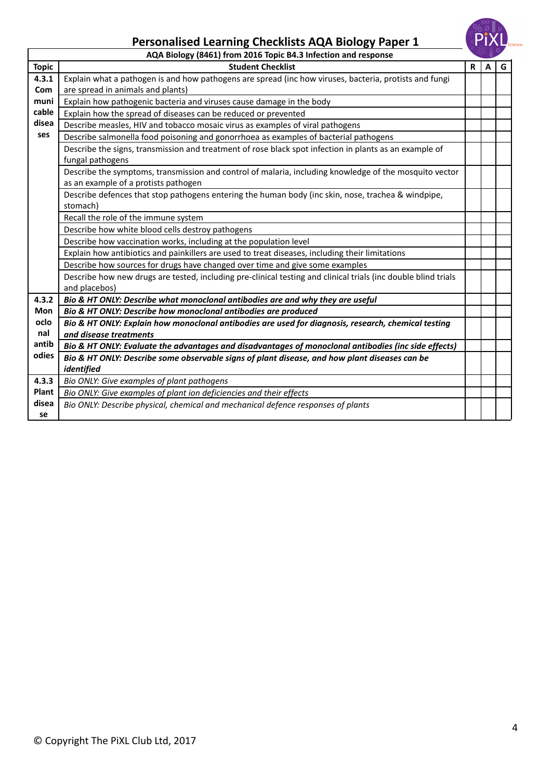

| AQA Biology (8461) from 2016 Topic B4.3 Infection and response |
|----------------------------------------------------------------|
|----------------------------------------------------------------|

|              | AQA Biology (8461) from 2016 Topic B4.3 Infection and response                                                                                 |             |   |   |
|--------------|------------------------------------------------------------------------------------------------------------------------------------------------|-------------|---|---|
| <b>Topic</b> | <b>Student Checklist</b>                                                                                                                       | $\mathbf R$ | A | G |
| 4.3.1        | Explain what a pathogen is and how pathogens are spread (inc how viruses, bacteria, protists and fungi                                         |             |   |   |
| Com          | are spread in animals and plants)                                                                                                              |             |   |   |
| muni         | Explain how pathogenic bacteria and viruses cause damage in the body                                                                           |             |   |   |
| cable        | Explain how the spread of diseases can be reduced or prevented                                                                                 |             |   |   |
| disea        | Describe measles, HIV and tobacco mosaic virus as examples of viral pathogens                                                                  |             |   |   |
| ses          | Describe salmonella food poisoning and gonorrhoea as examples of bacterial pathogens                                                           |             |   |   |
|              | Describe the signs, transmission and treatment of rose black spot infection in plants as an example of<br>fungal pathogens                     |             |   |   |
|              | Describe the symptoms, transmission and control of malaria, including knowledge of the mosquito vector<br>as an example of a protists pathogen |             |   |   |
|              | Describe defences that stop pathogens entering the human body (inc skin, nose, trachea & windpipe,<br>stomach)                                 |             |   |   |
|              | Recall the role of the immune system                                                                                                           |             |   |   |
|              | Describe how white blood cells destroy pathogens                                                                                               |             |   |   |
|              | Describe how vaccination works, including at the population level                                                                              |             |   |   |
|              | Explain how antibiotics and painkillers are used to treat diseases, including their limitations                                                |             |   |   |
|              | Describe how sources for drugs have changed over time and give some examples                                                                   |             |   |   |
|              | Describe how new drugs are tested, including pre-clinical testing and clinical trials (inc double blind trials                                 |             |   |   |
|              | and placebos)                                                                                                                                  |             |   |   |
| 4.3.2        | Bio & HT ONLY: Describe what monoclonal antibodies are and why they are useful                                                                 |             |   |   |
| <b>Mon</b>   | Bio & HT ONLY: Describe how monoclonal antibodies are produced                                                                                 |             |   |   |
| oclo         | Bio & HT ONLY: Explain how monoclonal antibodies are used for diagnosis, research, chemical testing                                            |             |   |   |
| nal          | and disease treatments                                                                                                                         |             |   |   |
| antib        | Bio & HT ONLY: Evaluate the advantages and disadvantages of monoclonal antibodies (inc side effects)                                           |             |   |   |
| odies        | Bio & HT ONLY: Describe some observable signs of plant disease, and how plant diseases can be                                                  |             |   |   |
|              | identified                                                                                                                                     |             |   |   |
| 4.3.3        | Bio ONLY: Give examples of plant pathogens                                                                                                     |             |   |   |
| Plant        | Bio ONLY: Give examples of plant ion deficiencies and their effects                                                                            |             |   |   |
| disea<br>se  | Bio ONLY: Describe physical, chemical and mechanical defence responses of plants                                                               |             |   |   |